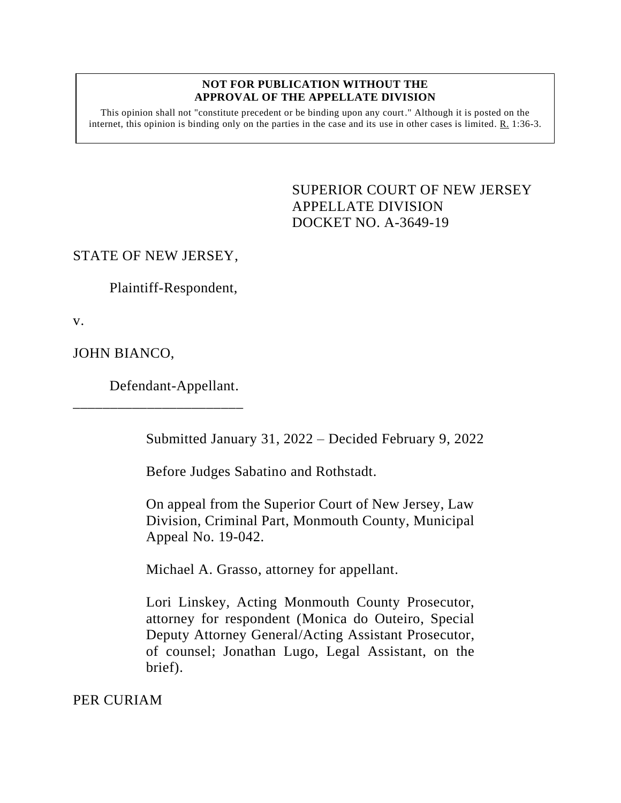### **NOT FOR PUBLICATION WITHOUT THE APPROVAL OF THE APPELLATE DIVISION**

This opinion shall not "constitute precedent or be binding upon any court." Although it is posted on the internet, this opinion is binding only on the parties in the case and its use in other cases is limited.  $R_1$  1:36-3.

> SUPERIOR COURT OF NEW JERSEY APPELLATE DIVISION DOCKET NO. A-3649-19

### STATE OF NEW JERSEY,

Plaintiff-Respondent,

v.

JOHN BIANCO,

Defendant-Appellant.

\_\_\_\_\_\_\_\_\_\_\_\_\_\_\_\_\_\_\_\_\_\_\_

Submitted January 31, 2022 – Decided February 9, 2022

Before Judges Sabatino and Rothstadt.

On appeal from the Superior Court of New Jersey, Law Division, Criminal Part, Monmouth County, Municipal Appeal No. 19-042.

Michael A. Grasso, attorney for appellant.

Lori Linskey, Acting Monmouth County Prosecutor, attorney for respondent (Monica do Outeiro, Special Deputy Attorney General/Acting Assistant Prosecutor, of counsel; Jonathan Lugo, Legal Assistant, on the brief).

PER CURIAM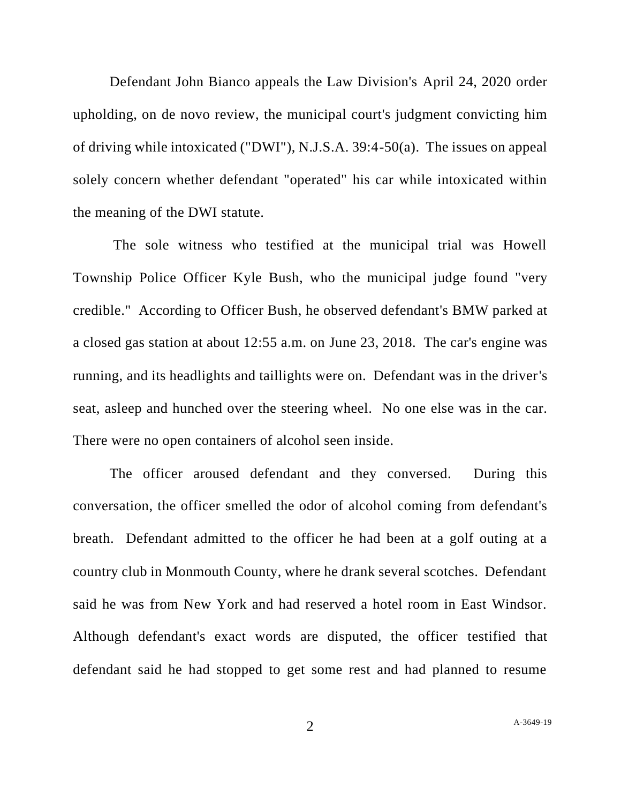Defendant John Bianco appeals the Law Division's April 24, 2020 order upholding, on de novo review, the municipal court's judgment convicting him of driving while intoxicated ("DWI"), N.J.S.A. 39:4-50(a). The issues on appeal solely concern whether defendant "operated" his car while intoxicated within the meaning of the DWI statute.

The sole witness who testified at the municipal trial was Howell Township Police Officer Kyle Bush, who the municipal judge found "very credible." According to Officer Bush, he observed defendant's BMW parked at a closed gas station at about 12:55 a.m. on June 23, 2018. The car's engine was running, and its headlights and taillights were on. Defendant was in the driver's seat, asleep and hunched over the steering wheel. No one else was in the car. There were no open containers of alcohol seen inside.

The officer aroused defendant and they conversed. During this conversation, the officer smelled the odor of alcohol coming from defendant's breath. Defendant admitted to the officer he had been at a golf outing at a country club in Monmouth County, where he drank several scotches. Defendant said he was from New York and had reserved a hotel room in East Windsor. Although defendant's exact words are disputed, the officer testified that defendant said he had stopped to get some rest and had planned to resume

2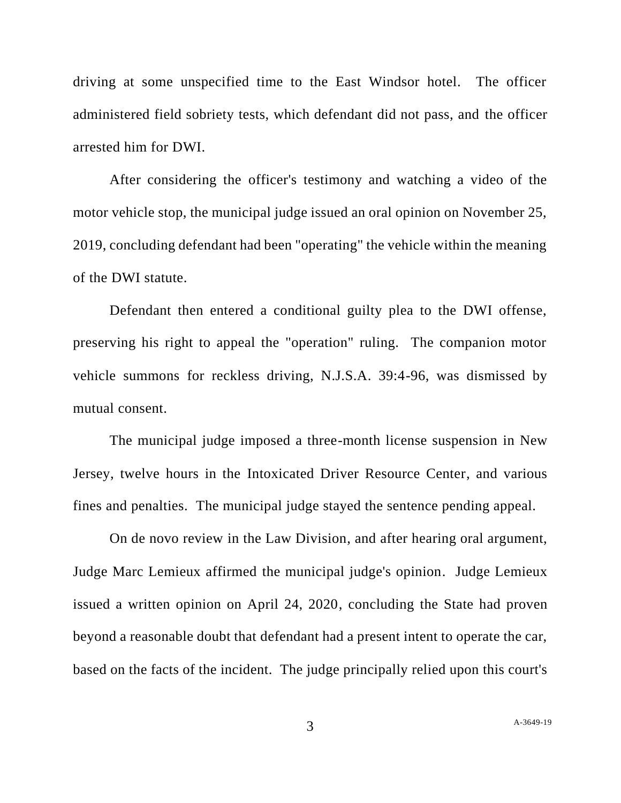driving at some unspecified time to the East Windsor hotel. The officer administered field sobriety tests, which defendant did not pass, and the officer arrested him for DWI.

After considering the officer's testimony and watching a video of the motor vehicle stop, the municipal judge issued an oral opinion on November 25, 2019, concluding defendant had been "operating" the vehicle within the meaning of the DWI statute.

Defendant then entered a conditional guilty plea to the DWI offense, preserving his right to appeal the "operation" ruling. The companion motor vehicle summons for reckless driving, N.J.S.A. 39:4-96, was dismissed by mutual consent.

The municipal judge imposed a three-month license suspension in New Jersey, twelve hours in the Intoxicated Driver Resource Center, and various fines and penalties. The municipal judge stayed the sentence pending appeal.

On de novo review in the Law Division, and after hearing oral argument, Judge Marc Lemieux affirmed the municipal judge's opinion. Judge Lemieux issued a written opinion on April 24, 2020, concluding the State had proven beyond a reasonable doubt that defendant had a present intent to operate the car, based on the facts of the incident. The judge principally relied upon this court's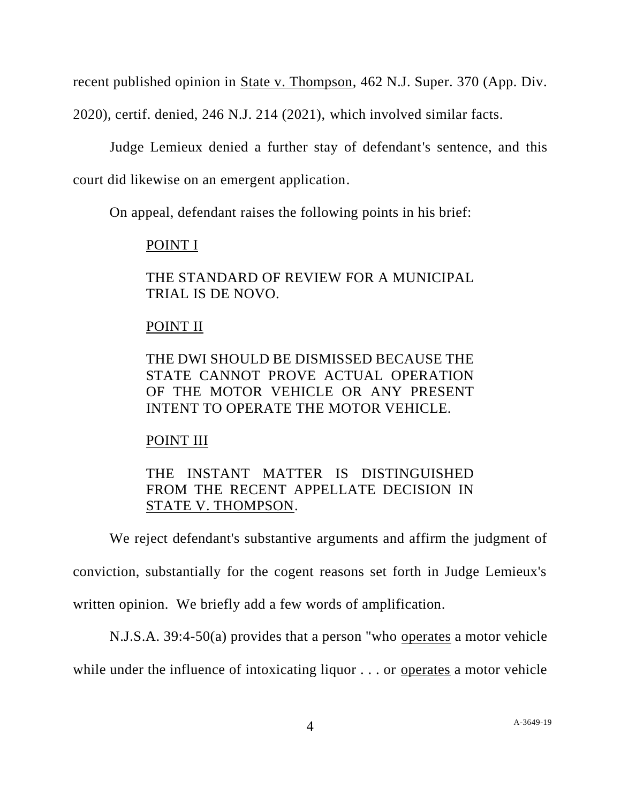recent published opinion in State v. Thompson, 462 N.J. Super. 370 (App. Div.

2020), certif. denied, 246 N.J. 214 (2021), which involved similar facts.

Judge Lemieux denied a further stay of defendant's sentence, and this court did likewise on an emergent application.

On appeal, defendant raises the following points in his brief:

# POINT I

THE STANDARD OF REVIEW FOR A MUNICIPAL TRIAL IS DE NOVO.

# POINT II

THE DWI SHOULD BE DISMISSED BECAUSE THE STATE CANNOT PROVE ACTUAL OPERATION OF THE MOTOR VEHICLE OR ANY PRESENT INTENT TO OPERATE THE MOTOR VEHICLE.

# POINT III

# THE INSTANT MATTER IS DISTINGUISHED FROM THE RECENT APPELLATE DECISION IN STATE V. THOMPSON.

We reject defendant's substantive arguments and affirm the judgment of conviction, substantially for the cogent reasons set forth in Judge Lemieux's written opinion. We briefly add a few words of amplification.

N.J.S.A. 39:4-50(a) provides that a person "who operates a motor vehicle

while under the influence of intoxicating liquor . . . or operates a motor vehicle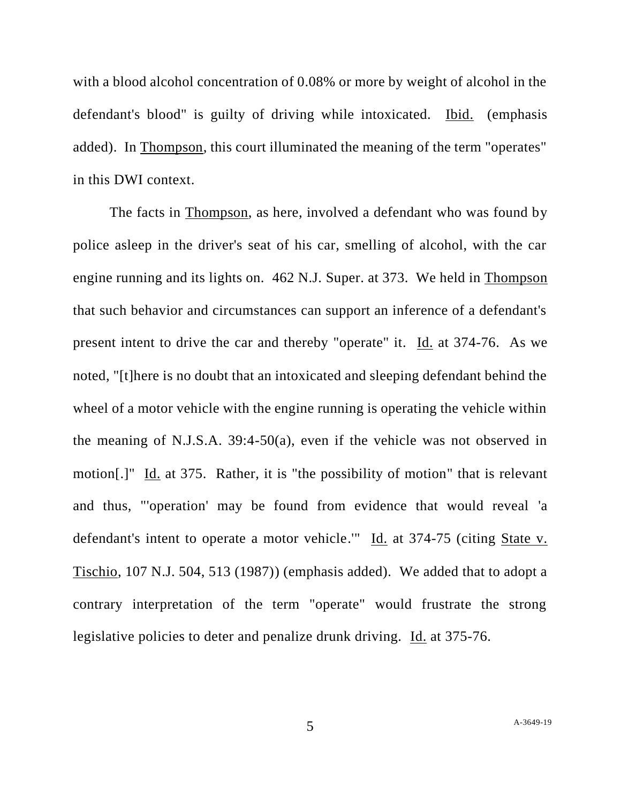with a blood alcohol concentration of 0.08% or more by weight of alcohol in the defendant's blood" is guilty of driving while intoxicated. Ibid. (emphasis added). In Thompson, this court illuminated the meaning of the term "operates" in this DWI context.

The facts in Thompson, as here, involved a defendant who was found by police asleep in the driver's seat of his car, smelling of alcohol, with the car engine running and its lights on. 462 N.J. Super. at 373. We held in Thompson that such behavior and circumstances can support an inference of a defendant's present intent to drive the car and thereby "operate" it. Id. at 374-76. As we noted, "[t]here is no doubt that an intoxicated and sleeping defendant behind the wheel of a motor vehicle with the engine running is operating the vehicle within the meaning of N.J.S.A. 39:4-50(a), even if the vehicle was not observed in motion[.]" Id. at 375. Rather, it is "the possibility of motion" that is relevant and thus, "'operation' may be found from evidence that would reveal 'a defendant's intent to operate a motor vehicle.'" Id. at 374-75 (citing State v. Tischio, 107 N.J. 504, 513 (1987)) (emphasis added). We added that to adopt a contrary interpretation of the term "operate" would frustrate the strong legislative policies to deter and penalize drunk driving. Id. at 375-76.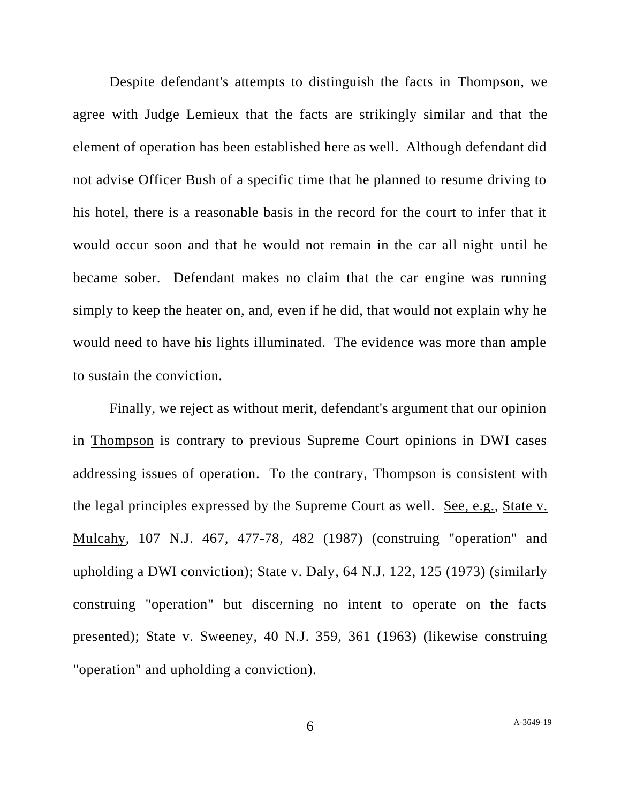Despite defendant's attempts to distinguish the facts in Thompson, we agree with Judge Lemieux that the facts are strikingly similar and that the element of operation has been established here as well. Although defendant did not advise Officer Bush of a specific time that he planned to resume driving to his hotel, there is a reasonable basis in the record for the court to infer that it would occur soon and that he would not remain in the car all night until he became sober. Defendant makes no claim that the car engine was running simply to keep the heater on, and, even if he did, that would not explain why he would need to have his lights illuminated. The evidence was more than ample to sustain the conviction.

Finally, we reject as without merit, defendant's argument that our opinion in Thompson is contrary to previous Supreme Court opinions in DWI cases addressing issues of operation. To the contrary, Thompson is consistent with the legal principles expressed by the Supreme Court as well. See, e.g., State v. Mulcahy, 107 N.J. 467, 477-78, 482 (1987) (construing "operation" and upholding a DWI conviction); State v. Daly, 64 N.J. 122, 125 (1973) (similarly construing "operation" but discerning no intent to operate on the facts presented); State v. Sweeney, 40 N.J. 359, 361 (1963) (likewise construing "operation" and upholding a conviction).

6